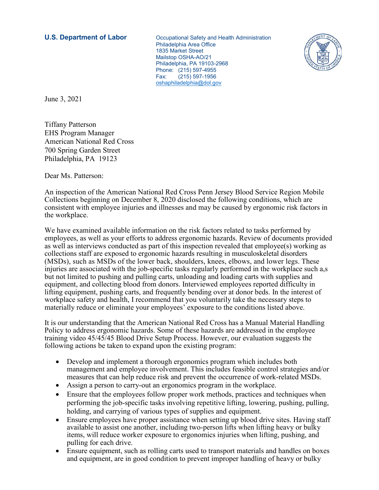**U.S. Department of Labor Cocupational Safety and Health Administration**  Philadelphia Area Office 1835 Market Street Mailstop OSHA-AO/21 Philadelphia, PA 19103-2968 Phone: (215) 597-4955 Fax: (215) 597-1956 [oshaphiladelphia@dol.gov](mailto:oshaphiladelphia@dol.gov)



June 3, 2021

Tiffany Patterson EHS Program Manager American National Red Cross 700 Spring Garden Street Philadelphia, PA 19123

Dear Ms. Patterson:

An inspection of the American National Red Cross Penn Jersey Blood Service Region Mobile Collections beginning on December 8, 2020 disclosed the following conditions, which are consistent with employee injuries and illnesses and may be caused by ergonomic risk factors in the workplace.

We have examined available information on the risk factors related to tasks performed by employees, as well as your efforts to address ergonomic hazards. Review of documents provided as well as interviews conducted as part of this inspection revealed that employee(s) working as collections staff are exposed to ergonomic hazards resulting in musculoskeletal disorders (MSDs), such as MSDs of the lower back, shoulders, knees, elbows, and lower legs. These injuries are associated with the job-specific tasks regularly performed in the workplace such a,s but not limited to pushing and pulling carts, unloading and loading carts with supplies and equipment, and collecting blood from donors. Interviewed employees reported difficulty in lifting equipment, pushing carts, and frequently bending over at donor beds. In the interest of workplace safety and health, I recommend that you voluntarily take the necessary steps to materially reduce or eliminate your employees' exposure to the conditions listed above.

It is our understanding that the American National Red Cross has a Manual Material Handling Policy to address ergonomic hazards. Some of these hazards are addressed in the employee training video 45/45/45 Blood Drive Setup Process. However, our evaluation suggests the following actions be taken to expand upon the existing program:

- Develop and implement a thorough ergonomics program which includes both management and employee involvement. This includes feasible control strategies and/or measures that can help reduce risk and prevent the occurrence of work-related MSDs.
- Assign a person to carry-out an ergonomics program in the workplace.
- Ensure that the employees follow proper work methods, practices and techniques when performing the job-specific tasks involving repetitive lifting, lowering, pushing, pulling, holding, and carrying of various types of supplies and equipment.
- Ensure employees have proper assistance when setting up blood drive sites. Having staff available to assist one another, including two-person lifts when lifting heavy or bulky items, will reduce worker exposure to ergonomics injuries when lifting, pushing, and pulling for each drive.
- Ensure equipment, such as rolling carts used to transport materials and handles on boxes and equipment, are in good condition to prevent improper handling of heavy or bulky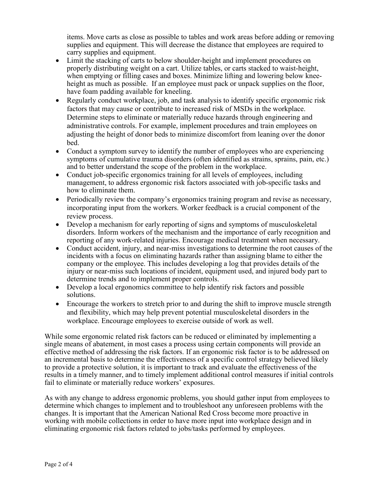items. Move carts as close as possible to tables and work areas before adding or removing supplies and equipment. This will decrease the distance that employees are required to carry supplies and equipment.

- Limit the stacking of carts to below shoulder-height and implement procedures on properly distributing weight on a cart. Utilize tables, or carts stacked to waist-height, when emptying or filling cases and boxes. Minimize lifting and lowering below kneeheight as much as possible. If an employee must pack or unpack supplies on the floor, have foam padding available for kneeling.
- Regularly conduct workplace, job, and task analysis to identify specific ergonomic risk factors that may cause or contribute to increased risk of MSDs in the workplace. Determine steps to eliminate or materially reduce hazards through engineering and administrative controls. For example, implement procedures and train employees on adjusting the height of donor beds to minimize discomfort from leaning over the donor bed.
- Conduct a symptom survey to identify the number of employees who are experiencing symptoms of cumulative trauma disorders (often identified as strains, sprains, pain, etc.) and to better understand the scope of the problem in the workplace.
- Conduct job-specific ergonomics training for all levels of employees, including management, to address ergonomic risk factors associated with job-specific tasks and how to eliminate them.
- Periodically review the company's ergonomics training program and revise as necessary, incorporating input from the workers. Worker feedback is a crucial component of the review process.
- Develop a mechanism for early reporting of signs and symptoms of musculoskeletal disorders. Inform workers of the mechanism and the importance of early recognition and reporting of any work-related injuries. Encourage medical treatment when necessary.
- Conduct accident, injury, and near-miss investigations to determine the root causes of the incidents with a focus on eliminating hazards rather than assigning blame to either the company or the employee. This includes developing a log that provides details of the injury or near-miss such locations of incident, equipment used, and injured body part to determine trends and to implement proper controls.
- Develop a local ergonomics committee to help identify risk factors and possible solutions.
- Encourage the workers to stretch prior to and during the shift to improve muscle strength and flexibility, which may help prevent potential musculoskeletal disorders in the workplace. Encourage employees to exercise outside of work as well.

While some ergonomic related risk factors can be reduced or eliminated by implementing a single means of abatement, in most cases a process using certain components will provide an effective method of addressing the risk factors. If an ergonomic risk factor is to be addressed on an incremental basis to determine the effectiveness of a specific control strategy believed likely to provide a protective solution, it is important to track and evaluate the effectiveness of the results in a timely manner, and to timely implement additional control measures if initial controls fail to eliminate or materially reduce workers' exposures.

As with any change to address ergonomic problems, you should gather input from employees to determine which changes to implement and to troubleshoot any unforeseen problems with the changes. It is important that the American National Red Cross become more proactive in working with mobile collections in order to have more input into workplace design and in eliminating ergonomic risk factors related to jobs/tasks performed by employees.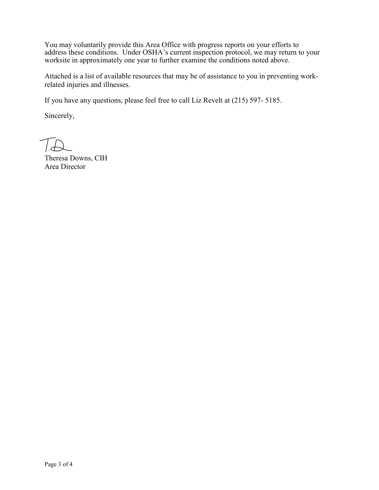You may voluntarily provide this Area Office with progress reports on your efforts to address these conditions. Under OSHA's current inspection protocol, we may return to your worksite in approximately one year to further examine the conditions noted above.

Attached is a list of available resources that may be of assistance to you in preventing workrelated injuries and illnesses.

If you have any questions, please feel free to call Liz Revelt at (215) 597- 5185.

Sincerely,

Theresa Downs, CIH Area Director